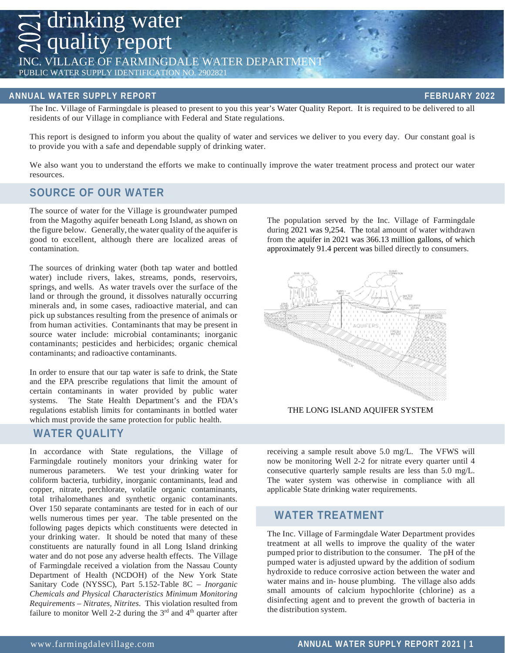drinking water quality report INC. VILLAGE OF FARMINGDALE WATER DEPARTM PUBLIC WATER SUPPLY IDENTIFICATION NO. 2902821

#### **ANNUAL WATER SUPPLY REPORT FEBRUARY 2022**

The Inc. Village of Farmingdale is pleased to present to you this year's Water Quality Report. It is required to be delivered to all residents of our Village in compliance with Federal and State regulations.

This report is designed to inform you about the quality of water and services we deliver to you every day. Our constant goal is to provide you with a safe and dependable supply of drinking water.

We also want you to understand the efforts we make to continually improve the water treatment process and protect our water resources.

### **SOURCE OF OUR WATER**

The source of water for the Village is groundwater pumped from the Magothy aquifer beneath Long Island, as shown on the figure below. Generally, the water quality of the aquiferis good to excellent, although there are localized areas of contamination.

The sources of drinking water (both tap water and bottled water) include rivers, lakes, streams, ponds, reservoirs, springs, and wells. As water travels over the surface of the land or through the ground, it dissolves naturally occurring minerals and, in some cases, radioactive material, and can pick up substances resulting from the presence of animals or from human activities. Contaminants that may be present in source water include: microbial contaminants; inorganic contaminants; pesticides and herbicides; organic chemical contaminants; and radioactive contaminants.

In order to ensure that our tap water is safe to drink, the State and the EPA prescribe regulations that limit the amount of certain contaminants in water provided by public water systems. The State Health Department's and the FDA's regulations establish limits for contaminants in bottled water which must provide the same protection for public health.

### **WATER QUALITY**

In accordance with State regulations, the Village of Farmingdale routinely monitors your drinking water for numerous parameters. We test your drinking water for coliform bacteria, turbidity, inorganic contaminants, lead and copper, nitrate, perchlorate, volatile organic contaminants, total trihalomethanes and synthetic organic contaminants. Over 150 separate contaminants are tested for in each of our wells numerous times per year. The table presented on the following pages depicts which constituents were detected in your drinking water. It should be noted that many of these constituents are naturally found in all Long Island drinking water and do not pose any adverse health effects. The Village of Farmingdale received a violation from the Nassau County Department of Health (NCDOH) of the New York State Sanitary Code (NYSSC), Part 5.152-Table 8C – *Inorganic Chemicals and Physical Characteristics Minimum Monitoring Requirements – Nitrates, Nitrites*. This violation resulted from failure to monitor Well 2-2 during the  $3<sup>rd</sup>$  and  $4<sup>th</sup>$  quarter after The population served by the Inc. Village of Farmingdale during 2021 was 9,254. The total amount of water withdrawn from the aquifer in 2021 was 366.13 million gallons, of which approximately 91.4 percent was billed directly to consumers.



THE LONG ISLAND AQUIFER SYSTEM

receiving a sample result above 5.0 mg/L. The VFWS will now be monitoring Well 2-2 for nitrate every quarter until 4 consecutive quarterly sample results are less than 5.0 mg/L. The water system was otherwise in compliance with all applicable State drinking water requirements.

### **WATER TREATMENT**

The Inc. Village of Farmingdale Water Department provides treatment at all wells to improve the quality of the water pumped prior to distribution to the consumer. The pH of the pumped water is adjusted upward by the addition of sodium hydroxide to reduce corrosive action between the water and water mains and in- house plumbing. The village also adds small amounts of calcium hypochlorite (chlorine) as a disinfecting agent and to prevent the growth of bacteria in the distribution system.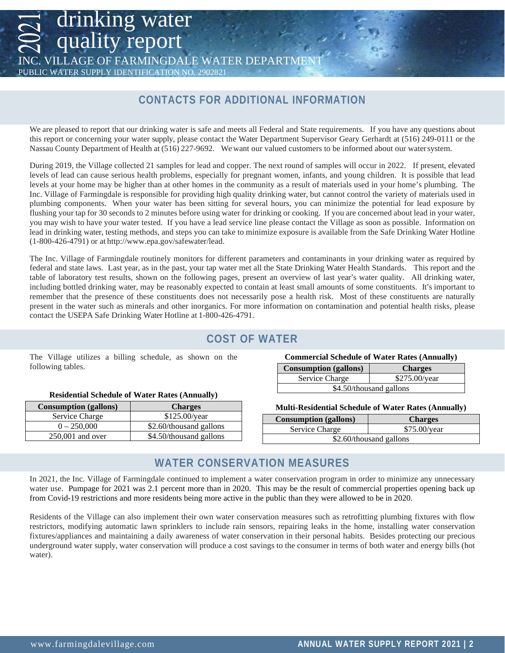### VILLAGE OF FARMINGDALE WATER DEPART

PUBLIC WATER SUPPLY IDENTIFICATION NO. 2902821

quality report

drinking water

## **CONTACTS FOR ADDITIONAL INFORMATION**

We are pleased to report that our drinking water is safe and meets all Federal and State requirements. If you have any questions about this report or concerning your water supply, please contact the Water Department Supervisor Geary Gerhardt at (516) 249-0111 or the Nassau County Department of Health at (516) 227-9692. We want our valued customers to be informed about our watersystem.

During 2019, the Village collected 21 samples for lead and copper. The next round of samples will occur in 2022. If present, elevated levels of lead can cause serious health problems, especially for pregnant women, infants, and young children. It is possible that lead levels at your home may be higher than at other homes in the community as a result of materials used in your home's plumbing. The Inc. Village of Farmingdale is responsible for providing high quality drinking water, but cannot control the variety of materials used in plumbing components. When your water has been sitting for several hours, you can minimize the potential for lead exposure by flushing your tap for 30 seconds to 2 minutes before using water for drinking or cooking. If you are concerned about lead in your water, you may wish to have your water tested. If you have a lead service line please contact the Village as soon as possible. Information on lead in drinking water, testing methods, and steps you can take to minimize exposure is available from the Safe Drinking Water Hotli[ne](http://www.epa.gov/safewater/lead)  (1-800-426-4791) or at [http://www.epa.gov/safewater/lead.](http://www.epa.gov/safewater/lead)

The Inc. Village of Farmingdale routinely monitors for different parameters and contaminants in your drinking water as required by federal and state laws. Last year, as in the past, your tap water met all the State Drinking Water Health Standards. This report and the table of laboratory test results, shown on the following pages, present an overview of last year's water quality. All drinking water, including bottled drinking water, may be reasonably expected to contain at least small amounts of some constituents. It's important to remember that the presence of these constituents does not necessarily pose a health risk. Most of these constituents are naturally present in the water such as minerals and other inorganics. For more information on contamination and potential health risks, please contact the USEPA Safe Drinking Water Hotline at 1-800-426-4791.

## **COST OF WATER**

The Village utilizes a billing schedule, as shown on the following tables.

| <b>Consumption (gallons)</b> | <b>Charges</b>          |
|------------------------------|-------------------------|
| Service Charge               | \$125.00/year           |
| $0 - 250,000$                | \$2.60/thousand gallons |
| $250,001$ and over           | \$4.50/thousand gallons |

#### **Commercial Schedule of Water Rates (Annually)**

| <b>Consumption</b> (gallons) | <b>Charges</b>  |  |  |  |  |  |  |  |
|------------------------------|-----------------|--|--|--|--|--|--|--|
| Service Charge               | $$275.00$ /year |  |  |  |  |  |  |  |
| \$4.50/thousand gallons      |                 |  |  |  |  |  |  |  |

#### **Multi-Residential Schedule of Water Rates (Annually)**

| <b>Consumption (gallons)</b> | <b>Charges</b> |  |  |  |  |  |  |
|------------------------------|----------------|--|--|--|--|--|--|
| Service Charge               | \$75.00/year   |  |  |  |  |  |  |
| \$2.60/thousand gallons      |                |  |  |  |  |  |  |

## **WATER CONSERVATION MEASURES**

In 2021, the Inc. Village of Farmingdale continued to implement a water conservation program in order to minimize any unnecessary water use. Pumpage for 2021 was 2.1 percent more than in 2020. This may be the result of commercial properties opening back up from Covid-19 restrictions and more residents being more active in the public than they were allowed to be in 2020.

Residents of the Village can also implement their own water conservation measures such as retrofitting plumbing fixtures with flow restrictors, modifying automatic lawn sprinklers to include rain sensors, repairing leaks in the home, installing water conservation fixtures/appliances and maintaining a daily awareness of water conservation in their personal habits. Besides protecting our precious underground water supply, water conservation will produce a cost savings to the consumer in terms of both water and energy bills (hot water).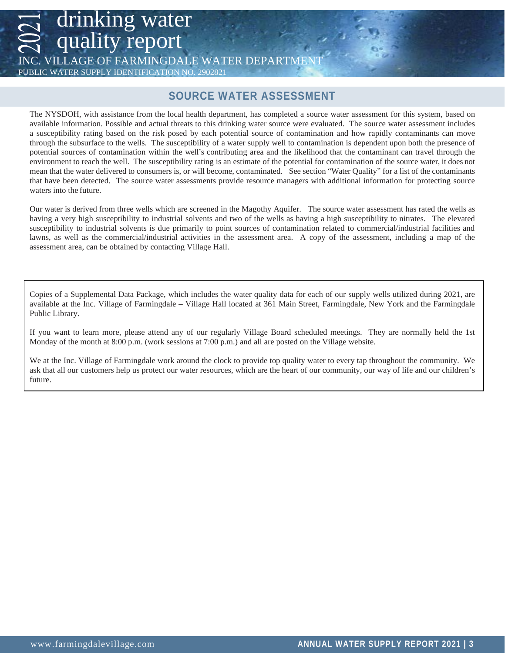quality report VILLAGE OF FARMINGDALE WATER DEPART

PUBLIC WATER SUPPLY IDENTIFICATION NO. 2902821

drinking water

### **SOURCE WATER ASSESSMENT**

The NYSDOH, with assistance from the local health department, has completed a source water assessment for this system, based on available information. Possible and actual threats to this drinking water source were evaluated. The source water assessment includes a susceptibility rating based on the risk posed by each potential source of contamination and how rapidly contaminants can move through the subsurface to the wells. The susceptibility of a water supply well to contamination is dependent upon both the presence of potential sources of contamination within the well's contributing area and the likelihood that the contaminant can travel through the environment to reach the well. The susceptibility rating is an estimate of the potential for contamination of the source water, it does not mean that the water delivered to consumers is, or will become, contaminated. See section "Water Quality" for a list of the contaminants that have been detected. The source water assessments provide resource managers with additional information for protecting source waters into the future.

Our water is derived from three wells which are screened in the Magothy Aquifer. The source water assessment has rated the wells as having a very high susceptibility to industrial solvents and two of the wells as having a high susceptibility to nitrates. The elevated susceptibility to industrial solvents is due primarily to point sources of contamination related to commercial/industrial facilities and lawns, as well as the commercial/industrial activities in the assessment area. A copy of the assessment, including a map of the assessment area, can be obtained by contacting Village Hall.

Copies of a Supplemental Data Package, which includes the water quality data for each of our supply wells utilized during 2021, are available at the Inc. Village of Farmingdale – Village Hall located at 361 Main Street, Farmingdale, New York and the Farmingdale Public Library.

If you want to learn more, please attend any of our regularly Village Board scheduled meetings. They are normally held the 1st Monday of the month at 8:00 p.m. (work sessions at 7:00 p.m.) and all are posted on the Village website.

We at the Inc. Village of Farmingdale work around the clock to provide top quality water to every tap throughout the community. We ask that all our customers help us protect our water resources, which are the heart of our community, our way of life and our children's future.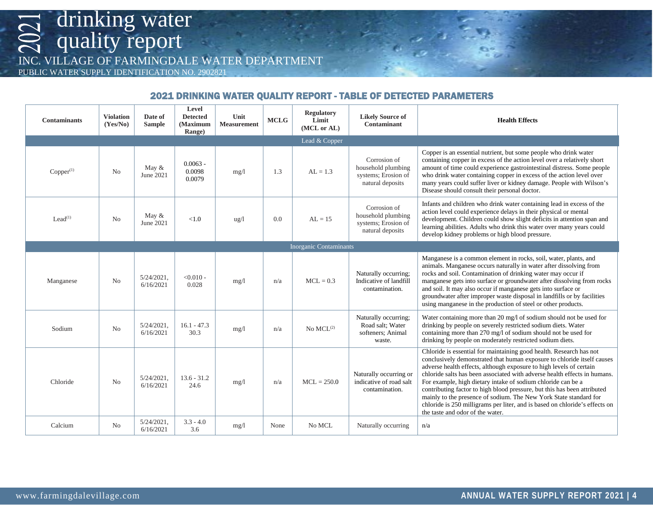INC. VILLAGE OF FARMINGDALE WATER DEPARTMENT

PUBLIC WATER SUPPLY IDENTIFICATION NO. 2902821

### 2021 DRINKING WATER QUALITY REPORT - TABLE OF DETECTED PARAMETERS

| <b>Contaminants</b> | <b>Violation</b><br>(Yes/No) | Date of<br><b>Sample</b>   | Level<br><b>Detected</b><br>(Maximum<br>Range) | Unit<br><b>Measurement</b> | <b>MCLG</b> | <b>Regulatory</b><br>Limit<br>(MCL or AL) | <b>Likely Source of</b><br>Contaminant                                        | <b>Health Effects</b>                                                                                                                                                                                                                                                                                                                                                                                                                                                                                                                                                                                                                  |  |  |
|---------------------|------------------------------|----------------------------|------------------------------------------------|----------------------------|-------------|-------------------------------------------|-------------------------------------------------------------------------------|----------------------------------------------------------------------------------------------------------------------------------------------------------------------------------------------------------------------------------------------------------------------------------------------------------------------------------------------------------------------------------------------------------------------------------------------------------------------------------------------------------------------------------------------------------------------------------------------------------------------------------------|--|--|
| Lead & Copper       |                              |                            |                                                |                            |             |                                           |                                                                               |                                                                                                                                                                                                                                                                                                                                                                                                                                                                                                                                                                                                                                        |  |  |
| $Copper^{(1)}$      | No                           | May $\&$<br>June 2021      | $0.0063 -$<br>0.0098<br>0.0079                 | mg/1                       | 1.3         | $AL = 1.3$                                | Corrosion of<br>household plumbing<br>systems; Erosion of<br>natural deposits | Copper is an essential nutrient, but some people who drink water<br>containing copper in excess of the action level over a relatively short<br>amount of time could experience gastrointestinal distress. Some people<br>who drink water containing copper in excess of the action level over<br>many years could suffer liver or kidney damage. People with Wilson's<br>Disease should consult their personal doctor.                                                                                                                                                                                                                 |  |  |
| $L$ ead $(1)$       | N <sub>0</sub>               | May $&$<br>June 2021       | <1.0                                           | ug/1                       | 0.0         | $AI = 15$                                 | Corrosion of<br>household plumbing<br>systems; Erosion of<br>natural deposits | Infants and children who drink water containing lead in excess of the<br>action level could experience delays in their physical or mental<br>development. Children could show slight deficits in attention span and<br>learning abilities. Adults who drink this water over many years could<br>develop kidney problems or high blood pressure.                                                                                                                                                                                                                                                                                        |  |  |
|                     |                              |                            |                                                |                            |             | <b>Inorganic Contaminants</b>             |                                                                               |                                                                                                                                                                                                                                                                                                                                                                                                                                                                                                                                                                                                                                        |  |  |
| Manganese           | No                           | $5/24/2021$ ,<br>6/16/2021 | $< 0.010 -$<br>0.028                           | mg/l                       | n/a         | $MCL = 0.3$                               | Naturally occurring:<br>Indicative of landfill<br>contamination.              | Manganese is a common element in rocks, soil, water, plants, and<br>animals. Manganese occurs naturally in water after dissolving from<br>rocks and soil. Contamination of drinking water may occur if<br>manganese gets into surface or groundwater after dissolving from rocks<br>and soil. It may also occur if manganese gets into surface or<br>groundwater after improper waste disposal in landfills or by facilities<br>using manganese in the production of steel or other products.                                                                                                                                          |  |  |
| Sodium              | No                           | $5/24/2021$ .<br>6/16/2021 | $16.1 - 47.3$<br>30.3                          | mg/1                       | n/a         | No $MCL^{(2)}$                            | Naturally occurring;<br>Road salt: Water<br>softeners; Animal<br>waste.       | Water containing more than 20 mg/l of sodium should not be used for<br>drinking by people on severely restricted sodium diets. Water<br>containing more than 270 mg/l of sodium should not be used for<br>drinking by people on moderately restricted sodium diets.                                                                                                                                                                                                                                                                                                                                                                    |  |  |
| Chloride            | No                           | $5/24/2021$ .<br>6/16/2021 | $13.6 - 31.2$<br>24.6                          | mg/1                       | n/a         | $MCL = 250.0$                             | Naturally occurring or<br>indicative of road salt<br>contamination.           | Chloride is essential for maintaining good health. Research has not<br>conclusively demonstrated that human exposure to chloride itself causes<br>adverse health effects, although exposure to high levels of certain<br>chloride salts has been associated with adverse health effects in humans.<br>For example, high dietary intake of sodium chloride can be a<br>contributing factor to high blood pressure, but this has been attributed<br>mainly to the presence of sodium. The New York State standard for<br>chloride is 250 milligrams per liter, and is based on chloride's effects on<br>the taste and odor of the water. |  |  |
| Calcium             | No                           | $5/24/2021$ ,<br>6/16/2021 | $3.3 - 4.0$<br>3.6                             | mg/1                       | None        | No MCL                                    | Naturally occurring                                                           | n/a                                                                                                                                                                                                                                                                                                                                                                                                                                                                                                                                                                                                                                    |  |  |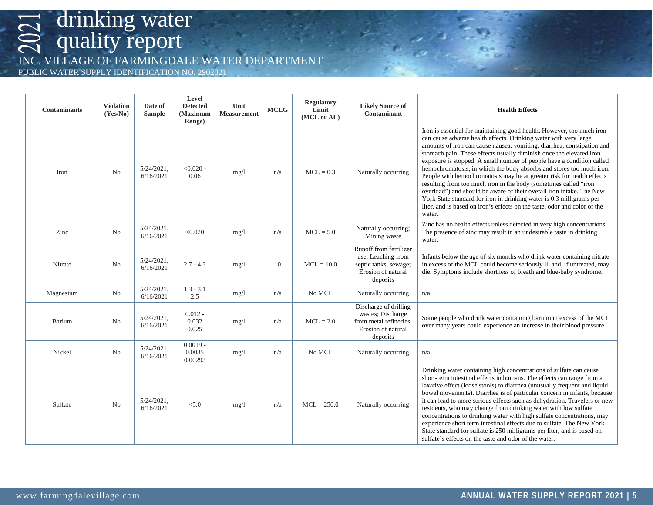INC. VILLAGE OF FARMINGDALE WATER DEPARTMENT

PUBLIC WATER SUPPLY IDENTIFICATION NO. 2902821

| <b>Contaminants</b> | <b>Violation</b><br>(Yes/No) | Date of<br><b>Sample</b>   | Level<br><b>Detected</b><br>(Maximum<br>Range) | Unit<br><b>Measurement</b> | <b>MCLG</b> | <b>Regulatory</b><br>Limit<br>(MCL or AL) | <b>Likely Source of</b><br>Contaminant                                                                  | <b>Health Effects</b>                                                                                                                                                                                                                                                                                                                                                                                                                                                                                                                                                                                                                                                                                                                                                                                                           |  |
|---------------------|------------------------------|----------------------------|------------------------------------------------|----------------------------|-------------|-------------------------------------------|---------------------------------------------------------------------------------------------------------|---------------------------------------------------------------------------------------------------------------------------------------------------------------------------------------------------------------------------------------------------------------------------------------------------------------------------------------------------------------------------------------------------------------------------------------------------------------------------------------------------------------------------------------------------------------------------------------------------------------------------------------------------------------------------------------------------------------------------------------------------------------------------------------------------------------------------------|--|
| Iron                | N <sub>0</sub>               | $5/24/2021$ ,<br>6/16/2021 | $< 0.020 -$<br>0.06                            | mg/1                       | n/a         | $MCL = 0.3$                               | Naturally occurring                                                                                     | Iron is essential for maintaining good health. However, too much iron<br>can cause adverse health effects. Drinking water with very large<br>amounts of iron can cause nausea, vomiting, diarrhea, constipation and<br>stomach pain. These effects usually diminish once the elevated iron<br>exposure is stopped. A small number of people have a condition called<br>hemochromatosis, in which the body absorbs and stores too much iron.<br>People with hemochromatosis may be at greater risk for health effects<br>resulting from too much iron in the body (sometimes called "iron<br>overload") and should be aware of their overall iron intake. The New<br>York State standard for iron in drinking water is 0.3 milligrams per<br>liter, and is based on iron's effects on the taste, odor and color of the<br>water. |  |
| Zinc                | N <sub>0</sub>               | $5/24/2021$ ,<br>6/16/2021 | < 0.020                                        | mg/1                       | n/a         | $MCL = 5.0$                               | Naturally occurring;<br>Mining waste                                                                    | Zinc has no health effects unless detected in very high concentrations.<br>The presence of zinc may result in an undesirable taste in drinking<br>water.                                                                                                                                                                                                                                                                                                                                                                                                                                                                                                                                                                                                                                                                        |  |
| Nitrate             | No                           | $5/24/2021$ .<br>6/16/2021 | $2.7 - 4.3$                                    | mg/1                       | 10          | $MCL = 10.0$                              | Runoff from fertilizer<br>use; Leaching from<br>septic tanks, sewage;<br>Erosion of natural<br>deposits | Infants below the age of six months who drink water containing nitrate<br>in excess of the MCL could become seriously ill and, if untreated, may<br>die. Symptoms include shortness of breath and blue-baby syndrome.                                                                                                                                                                                                                                                                                                                                                                                                                                                                                                                                                                                                           |  |
| Magnesium           | No                           | $5/24/2021$ .<br>6/16/2021 | $1.3 - 3.1$<br>2.5                             | mg/1                       | n/a         | No MCL                                    | Naturally occurring                                                                                     | n/a                                                                                                                                                                                                                                                                                                                                                                                                                                                                                                                                                                                                                                                                                                                                                                                                                             |  |
| Barium              | N <sub>0</sub>               | $5/24/2021$ .<br>6/16/2021 | $0.012 -$<br>0.032<br>0.025                    | mg/1                       | n/a         | $MCL = 2.0$                               | Discharge of drilling<br>wastes; Discharge<br>from metal refineries;<br>Erosion of natural<br>deposits  | Some people who drink water containing barium in excess of the MCL<br>over many years could experience an increase in their blood pressure.                                                                                                                                                                                                                                                                                                                                                                                                                                                                                                                                                                                                                                                                                     |  |
| Nickel              | No                           | $5/24/2021$ ,<br>6/16/2021 | $0.0019 -$<br>0.0035<br>0.00293                | mg/1                       | n/a         | No MCL                                    | Naturally occurring                                                                                     | n/a                                                                                                                                                                                                                                                                                                                                                                                                                                                                                                                                                                                                                                                                                                                                                                                                                             |  |
| Sulfate             | No                           | $5/24/2021$ ,<br>6/16/2021 | < 5.0                                          | mg/1                       | n/a         | $MCL = 250.0$                             | Naturally occurring                                                                                     | Drinking water containing high concentrations of sulfate can cause<br>short-term intestinal effects in humans. The effects can range from a<br>laxative effect (loose stools) to diarrhea (unusually frequent and liquid<br>bowel movements). Diarrhea is of particular concern in infants, because<br>it can lead to more serious effects such as dehydration. Travelers or new<br>residents, who may change from drinking water with low sulfate<br>concentrations to drinking water with high sulfate concentrations, may<br>experience short term intestinal effects due to sulfate. The New York<br>State standard for sulfate is 250 milligrams per liter, and is based on<br>sulfate's effects on the taste and odor of the water.                                                                                       |  |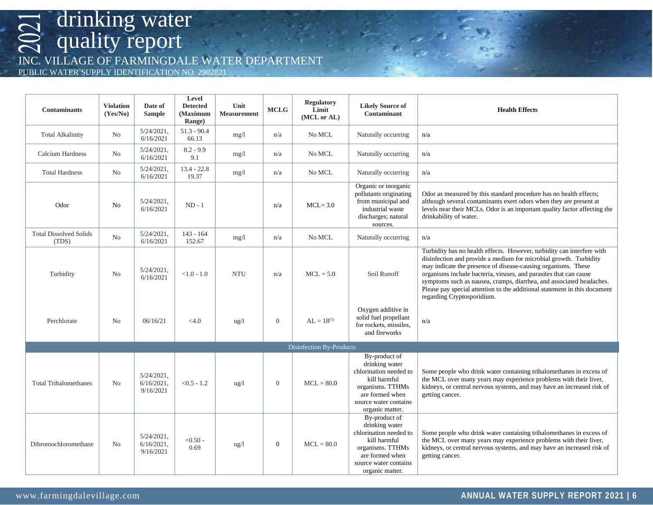INC. VILLAGE OF FARMINGDALE WATER DEPARTMENT

PUBLIC WATER SUPPLY IDENTIFICATION NO. 2902821

| <b>Contaminants</b>                    | <b>Violation</b><br>(Yes/No) | Date of<br><b>Sample</b>                    | Level<br><b>Detected</b><br><b>Maximum</b><br>Range) | Unit<br><b>Measurement</b> | <b>MCLG</b>      | <b>Regulatory</b><br>Limit<br>(MCL or AL) | <b>Likely Source of</b><br>Contaminant                                                                                                                       | <b>Health Effects</b>                                                                                                                                                                                                                                                                                                                                                                                                                                                |  |
|----------------------------------------|------------------------------|---------------------------------------------|------------------------------------------------------|----------------------------|------------------|-------------------------------------------|--------------------------------------------------------------------------------------------------------------------------------------------------------------|----------------------------------------------------------------------------------------------------------------------------------------------------------------------------------------------------------------------------------------------------------------------------------------------------------------------------------------------------------------------------------------------------------------------------------------------------------------------|--|
| <b>Total Alkalinity</b>                | No                           | $5/24/2021$ ,<br>6/16/2021                  | $51.3 - 90.4$<br>66.13                               | mg/1                       | n/a              | No MCL                                    | Naturally occurring                                                                                                                                          | n/a                                                                                                                                                                                                                                                                                                                                                                                                                                                                  |  |
| <b>Calcium Hardness</b>                | No                           | $5/24/2021$ ,<br>6/16/2021                  | $8.2 - 9.9$<br>9.1                                   | mg/1                       | n/a              | No MCL                                    | Naturally occurring                                                                                                                                          | n/a                                                                                                                                                                                                                                                                                                                                                                                                                                                                  |  |
| <b>Total Hardness</b>                  | No                           | $5/24/2021$ ,<br>6/16/2021                  | $13.4 - 22.8$<br>19.37                               | mg/1                       | n/a              | No MCL                                    | Naturally occurring                                                                                                                                          | n/a                                                                                                                                                                                                                                                                                                                                                                                                                                                                  |  |
| Odor                                   | No                           | 5/24/2021,<br>6/16/2021                     | $ND - 1$                                             |                            | n/a              | $MCL = 3.0$                               | Organic or inorganic<br>pollutants originating<br>from municipal and<br>industrial waste<br>discharges; natural<br>sources.                                  | Odor as measured by this standard procedure has no health effects;<br>although several contaminants exert odors when they are present at<br>levels near their MCLs. Odor is an important quality factor affecting the<br>drinkability of water.                                                                                                                                                                                                                      |  |
| <b>Total Dissolved Solids</b><br>(TDS) | No                           | $5/24/2021$ ,<br>6/16/2021                  | $143 - 164$<br>152.67                                | mg/1                       | n/a              | No MCL                                    | Naturally occurring                                                                                                                                          | n/a                                                                                                                                                                                                                                                                                                                                                                                                                                                                  |  |
| Turbidity                              | N <sub>o</sub>               | $5/24/2021$ ,<br>6/16/2021                  | $< 1.0 - 1.0$                                        | <b>NTU</b>                 | n/a              | $MCL = 5.0$                               | Soil Runoff                                                                                                                                                  | Turbidity has no health effects. However, turbidity can interfere with<br>disinfection and provide a medium for microbial growth. Turbidity<br>may indicate the presence of disease-causing organisms. These<br>organisms include bacteria, viruses, and parasites that can cause<br>symptoms such as nausea, cramps, diarrhea, and associated headaches.<br>Please pay special attention to the additional statement in this document<br>regarding Cryptosporidium. |  |
| Perchlorate                            | N <sub>o</sub>               | 06/16/21                                    | < 4.0                                                | $\frac{u g}{l}$            | $\boldsymbol{0}$ | $AL = 18^{(5)}$                           | Oxygen additive in<br>solid fuel propellant<br>for rockets, missiles,<br>and fireworks                                                                       | n/a                                                                                                                                                                                                                                                                                                                                                                                                                                                                  |  |
|                                        |                              |                                             |                                                      |                            |                  | <b>Disinfection By-Products</b>           |                                                                                                                                                              |                                                                                                                                                                                                                                                                                                                                                                                                                                                                      |  |
| <b>Total Trihalomethanes</b>           | N <sub>o</sub>               | $5/24/2021$ ,<br>$6/16/2021$ ,<br>9/16/2021 | $< 0.5 - 1.2$                                        | ug/1                       | $\boldsymbol{0}$ | $MCL = 80.0$                              | By-product of<br>drinking water<br>chlorination needed to<br>kill harmful<br>organisms. TTHMs<br>are formed when<br>source water contains<br>organic matter. | Some people who drink water containing trihalomethanes in excess of<br>the MCL over many years may experience problems with their liver,<br>kidneys, or central nervous systems, and may have an increased risk of<br>getting cancer.                                                                                                                                                                                                                                |  |
| Dibromochloromethane                   | No                           | $5/24/2021$ ,<br>$6/16/2021$ ,<br>9/16/2021 | $< 0.50 -$<br>0.69                                   | $\frac{u g}{l}$            | $\mathbf{0}$     | $MCL = 80.0$                              | By-product of<br>drinking water<br>chlorination needed to<br>kill harmful<br>organisms. TTHMs<br>are formed when<br>source water contains<br>organic matter. | Some people who drink water containing trihalomethanes in excess of<br>the MCL over many years may experience problems with their liver,<br>kidneys, or central nervous systems, and may have an increased risk of<br>getting cancer.                                                                                                                                                                                                                                |  |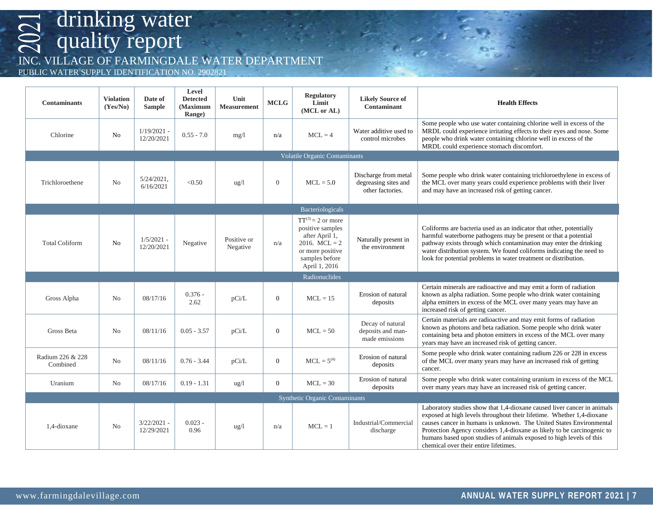INC. VILLAGE OF FARMINGDALE WATER DEPARTMENT

PUBLIC WATER SUPPLY IDENTIFICATION NO. 2902821

| <b>Contaminants</b>          | <b>Violation</b><br>(Yes/No) | Date of<br><b>Sample</b>    | Level<br><b>Detected</b><br>(Maximum<br>Range) | Unit<br><b>Measurement</b> | <b>MCLG</b>    | <b>Regulatory</b><br>Limit<br>(MCL or AL)                                                                                              | <b>Likely Source of</b><br><b>Contaminant</b>                    | <b>Health Effects</b>                                                                                                                                                                                                                                                                                                                                                                                              |  |
|------------------------------|------------------------------|-----------------------------|------------------------------------------------|----------------------------|----------------|----------------------------------------------------------------------------------------------------------------------------------------|------------------------------------------------------------------|--------------------------------------------------------------------------------------------------------------------------------------------------------------------------------------------------------------------------------------------------------------------------------------------------------------------------------------------------------------------------------------------------------------------|--|
| Chlorine                     | No                           | $1/19/2021$ -<br>12/20/2021 | $0.55 - 7.0$                                   | mg/1                       | n/a            | $MCL = 4$                                                                                                                              | Water additive used to<br>control microbes                       | Some people who use water containing chlorine well in excess of the<br>MRDL could experience irritating effects to their eyes and nose. Some<br>people who drink water containing chlorine well in excess of the<br>MRDL could experience stomach discomfort.                                                                                                                                                      |  |
|                              |                              |                             |                                                |                            |                | Volatile Organic Contaminants                                                                                                          |                                                                  |                                                                                                                                                                                                                                                                                                                                                                                                                    |  |
| Trichloroethene              | No                           | $5/24/2021$ ,<br>6/16/2021  | < 0.50                                         | $\frac{u g}{l}$            | $\mathbf{0}$   | $MCL = 5.0$                                                                                                                            | Discharge from metal<br>degreasing sites and<br>other factories. | Some people who drink water containing trichloroethylene in excess of<br>the MCL over many years could experience problems with their liver<br>and may have an increased risk of getting cancer.                                                                                                                                                                                                                   |  |
|                              |                              |                             |                                                |                            |                | Bacteriologicals                                                                                                                       |                                                                  |                                                                                                                                                                                                                                                                                                                                                                                                                    |  |
| <b>Total Coliform</b>        | No                           | $1/5/2021$ -<br>12/20/2021  | Negative                                       | Positive or<br>Negative    | n/a            | $TT^{(3)} = 2$ or more<br>positive samples<br>after April 1,<br>2016. $MCL = 2$<br>or more positive<br>samples before<br>April 1, 2016 | Naturally present in<br>the environment                          | Coliforms are bacteria used as an indicator that other, potentially<br>harmful waterborne pathogens may be present or that a potential<br>pathway exists through which contamination may enter the drinking<br>water distribution system. We found coliforms indicating the need to<br>look for potential problems in water treatment or distribution.                                                             |  |
|                              |                              |                             |                                                |                            |                | Radionuclides                                                                                                                          |                                                                  |                                                                                                                                                                                                                                                                                                                                                                                                                    |  |
| Gross Alpha                  | N <sub>0</sub>               | 08/17/16                    | $0.376 -$<br>2.62                              | pCi/L                      | $\overline{0}$ | $MCL = 15$                                                                                                                             | Erosion of natural<br>deposits                                   | Certain minerals are radioactive and may emit a form of radiation<br>known as alpha radiation. Some people who drink water containing<br>alpha emitters in excess of the MCL over many years may have an<br>increased risk of getting cancer.                                                                                                                                                                      |  |
| Gross Beta                   | N <sub>o</sub>               | 08/11/16                    | $0.05 - 3.57$                                  | pCi/L                      | $\overline{0}$ | $MCL = 50$                                                                                                                             | Decay of natural<br>deposits and man-<br>made emissions          | Certain materials are radioactive and may emit forms of radiation<br>known as photons and beta radiation. Some people who drink water<br>containing beta and photon emitters in excess of the MCL over many<br>years may have an increased risk of getting cancer.                                                                                                                                                 |  |
| Radium 226 & 228<br>Combined | No                           | 08/11/16                    | $0.76 - 3.44$                                  | pCi/L                      | $\overline{0}$ | $MCL = 5^{(4)}$                                                                                                                        | Erosion of natural<br>deposits                                   | Some people who drink water containing radium 226 or 228 in excess<br>of the MCL over many years may have an increased risk of getting<br>cancer.                                                                                                                                                                                                                                                                  |  |
| Uranium                      | No                           | 08/17/16                    | $0.19 - 1.31$                                  | ug/l                       | $\overline{0}$ | $MCL = 30$                                                                                                                             | Erosion of natural<br>deposits                                   | Some people who drink water containing uranium in excess of the MCL<br>over many years may have an increased risk of getting cancer.                                                                                                                                                                                                                                                                               |  |
|                              |                              |                             |                                                |                            |                | <b>Synthetic Organic Contaminants</b>                                                                                                  |                                                                  |                                                                                                                                                                                                                                                                                                                                                                                                                    |  |
| 1,4-dioxane                  | No                           | $3/22/2021$ -<br>12/29/2021 | $0.023 -$<br>0.96                              | $\frac{u g}{l}$            | n/a            | $MCL = 1$                                                                                                                              | Industrial/Commercial<br>discharge                               | Laboratory studies show that 1,4-dioxane caused liver cancer in animals<br>exposed at high levels throughout their lifetime. Whether 1,4-dioxane<br>causes cancer in humans is unknown. The United States Environmental<br>Protection Agency considers 1,4-dioxane as likely to be carcinogenic to<br>humans based upon studies of animals exposed to high levels of this<br>chemical over their entire lifetimes. |  |

 $\frac{1}{2}$   $\frac{1}{2}$   $\frac{1}{2}$   $\frac{1}{2}$   $\frac{1}{2}$   $\frac{1}{2}$   $\frac{1}{2}$   $\frac{1}{2}$   $\frac{1}{2}$   $\frac{1}{2}$   $\frac{1}{2}$   $\frac{1}{2}$   $\frac{1}{2}$   $\frac{1}{2}$   $\frac{1}{2}$   $\frac{1}{2}$   $\frac{1}{2}$   $\frac{1}{2}$   $\frac{1}{2}$   $\frac{1}{2}$   $\frac{1}{2}$   $\frac{1}{2}$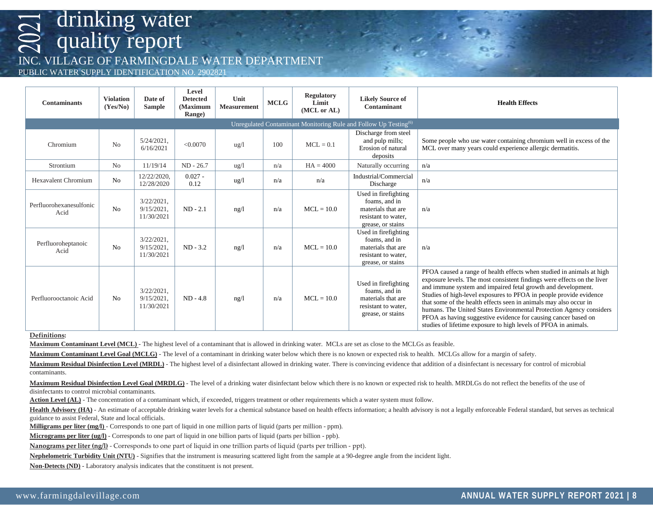VILLAGE OF FARMINGDALE WATER DEPARTMENT

PUBLIC WATER SUPPLY IDENTIFICATION NO. 2902821

| <b>Contaminants</b>                                                          | <b>Violation</b><br>(Yes/No) | Date of<br><b>Sample</b>                     | <b>Level</b><br><b>Detected</b><br>(Maximum<br>Range) | Unit<br><b>Measurement</b> | <b>MCLG</b> | <b>Regulatory</b><br>Limit<br>(MCL or AL) | <b>Likely Source of</b><br>Contaminant                                                                  | <b>Health Effects</b>                                                                                                                                                                                                                                                                                                                                                                                                                                                                                                                                                   |  |  |
|------------------------------------------------------------------------------|------------------------------|----------------------------------------------|-------------------------------------------------------|----------------------------|-------------|-------------------------------------------|---------------------------------------------------------------------------------------------------------|-------------------------------------------------------------------------------------------------------------------------------------------------------------------------------------------------------------------------------------------------------------------------------------------------------------------------------------------------------------------------------------------------------------------------------------------------------------------------------------------------------------------------------------------------------------------------|--|--|
| Unregulated Contaminant Monitoring Rule and Follow Up Testing <sup>(6)</sup> |                              |                                              |                                                       |                            |             |                                           |                                                                                                         |                                                                                                                                                                                                                                                                                                                                                                                                                                                                                                                                                                         |  |  |
| Chromium                                                                     | No                           | $5/24/2021$ ,<br>6/16/2021                   | < 0.0070                                              | ug/l                       | 100         | $MCL = 0.1$                               | Discharge from steel<br>and pulp mills;<br>Erosion of natural<br>deposits                               | Some people who use water containing chromium well in excess of the<br>MCL over many years could experience allergic dermatitis.                                                                                                                                                                                                                                                                                                                                                                                                                                        |  |  |
| Strontium                                                                    | N <sub>0</sub>               | 11/19/14                                     | $ND - 26.7$                                           | ug/l                       | n/a         | $HA = 4000$                               | Naturally occurring                                                                                     | n/a                                                                                                                                                                                                                                                                                                                                                                                                                                                                                                                                                                     |  |  |
| <b>Hexavalent Chromium</b>                                                   | No                           | 12/22/2020,<br>12/28/2020                    | $0.027 -$<br>0.12                                     | ug/l                       | n/a         | n/a                                       | Industrial/Commercial<br>Discharge                                                                      | n/a                                                                                                                                                                                                                                                                                                                                                                                                                                                                                                                                                                     |  |  |
| Perfluorohexanesulfonic<br>Acid                                              | No                           | $3/22/2021$ ,<br>$9/15/2021$ .<br>11/30/2021 | $ND - 2.1$                                            | ng/l                       | n/a         | $MCL = 10.0$                              | Used in firefighting<br>foams, and in<br>materials that are<br>resistant to water,<br>grease, or stains | n/a                                                                                                                                                                                                                                                                                                                                                                                                                                                                                                                                                                     |  |  |
| Perfluoroheptanoic<br>Acid                                                   | No                           | $3/22/2021$ ,<br>$9/15/2021$ .<br>11/30/2021 | $ND - 3.2$                                            | ng/l                       | n/a         | $MCL = 10.0$                              | Used in firefighting<br>foams, and in<br>materials that are<br>resistant to water.<br>grease, or stains | n/a                                                                                                                                                                                                                                                                                                                                                                                                                                                                                                                                                                     |  |  |
| Perfluorooctanoic Acid                                                       | No                           | $3/22/2021$ ,<br>$9/15/2021$ ,<br>11/30/2021 | $ND - 4.8$                                            | ng/l                       | n/a         | $MCL = 10.0$                              | Used in firefighting<br>foams, and in<br>materials that are<br>resistant to water.<br>grease, or stains | PFOA caused a range of health effects when studied in animals at high<br>exposure levels. The most consistent findings were effects on the liver<br>and immune system and impaired fetal growth and development.<br>Studies of high-level exposures to PFOA in people provide evidence<br>that some of the health effects seen in animals may also occur in<br>humans. The United States Environmental Protection Agency considers<br>PFOA as having suggestive evidence for causing cancer based on<br>studies of lifetime exposure to high levels of PFOA in animals. |  |  |

#### **Definitions:**

**Maximum Contaminant Level (MCL)** - The highest level of a contaminant that is allowed in drinking water. MCLs are set as close to the MCLGs as feasible.

**Maximum Contaminant Level Goal (MCLG)** - The level of a contaminant in drinking water below which there is no known or expected risk to health. MCLGs allow for a margin of safety.

Maximum Residual Disinfection Level (MRDL) - The highest level of a disinfectant allowed in drinking water. There is convincing evidence that addition of a disinfectant is necessary for control of microbial contaminants.

Maximum Residual Disinfection Level Goal (MRDLG) - The level of a drinking water disinfectant below which there is no known or expected risk to health. MRDLGs do not reflect the benefits of the use of disinfectants to control microbial contaminants.

**Action Level (AL)** - The concentration of a contaminant which, if exceeded, triggers treatment or other requirements which a water system must follow.

Health Advisory (HA) - An estimate of acceptable drinking water levels for a chemical substance based on health effects information; a health advisory is not a legally enforceable Federal standard, but serves as technical guidance to assist Federal, State and local officials.

**Milligrams per liter (mg/l)** - Corresponds to one part of liquid in one million parts of liquid (parts per million - ppm).

**Micrograms per liter (ug/l)** - Corresponds to one part of liquid in one billion parts of liquid (parts per billion - ppb).

**Nanograms per liter (ng/l)** - Corresponds to one part of liquid in one trillion parts of liquid (parts per trillion - ppt).

**Nephelometric Turbidity Unit (NTU)** - Signifies that the instrument is measuring scattered light from the sample at a 90-degree angle from the incident light.

**Non-Detects (ND)** - Laboratory analysis indicates that the constituent is not present.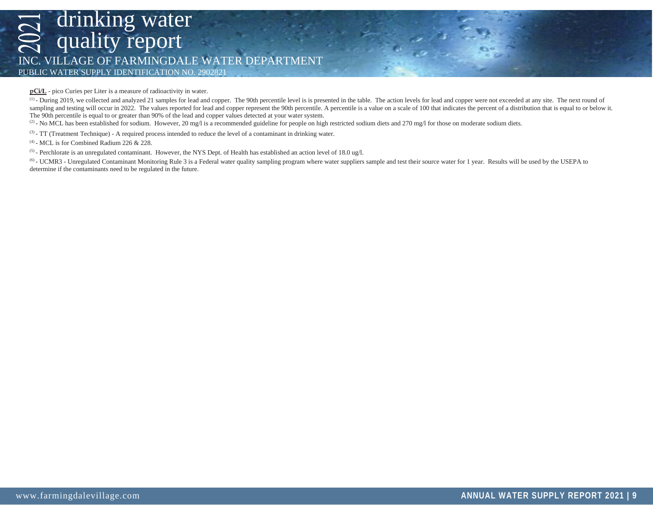## drinking water quality report INC. VILLAGE OF FARMINGDALE WATER DEPARTMENT PUBLIC WATER SUPPLY IDENTIFICATION NO. 2902821

**pCi/L** - pico Curies per Liter is a measure of radioactivity in water.

(1) - During 2019, we collected and analyzed 21 samples for lead and copper. The 90th percentile level is is presented in the table. The action levels for lead and copper were not exceeded at any site. The next round of sampling and testing will occur in 2022. The values reported for lead and copper represent the 90th percentile. A percentile is a value on a scale of 100 that indicates the percent of a distribution that is equal to or bel The 90th percentile is equal to or greater than 90% of the lead and copper values detected at your water system.

(2) - No MCL has been established for sodium. However, 20 mg/l is a recommended guideline for people on high restricted sodium diets and 270 mg/l for those on moderate sodium diets.

(3) - TT (Treatment Technique) - A required process intended to reduce the level of a contaminant in drinking water.

 $(4)$  - MCL is for Combined Radium 226 & 228.

(5) - Perchlorate is an unregulated contaminant. However, the NYS Dept. of Health has established an action level of 18.0 ug/l.

<sup>(6)</sup> - UCMR3 - Unregulated Contaminant Monitoring Rule 3 is a Federal water quality sampling program where water suppliers sample and test their source water for 1 year. Results will be used by the USEPA to determine if the contaminants need to be regulated in the future.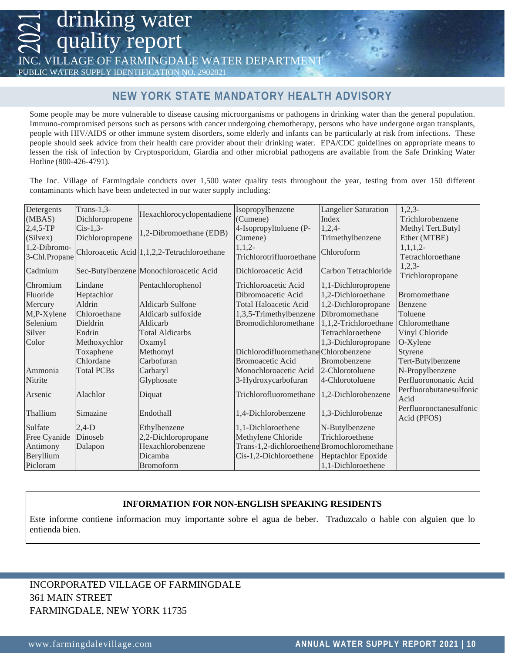quality report

VILLAGE OF FARMINGDALE WATER DEPART

PUBLIC WATER SUPPLY IDENTIFICATION NO. 2902821

drinking water

### **NEW YORK STATE MANDATORY HEALTH ADVISORY**

Some people may be more vulnerable to disease causing microorganisms or pathogens in drinking water than the general population. Immuno-compromised persons such as persons with cancer undergoing chemotherapy, persons who have undergone organ transplants, people with HIV/AIDS or other immune system disorders, some elderly and infants can be particularly at risk from infections. These people should seek advice from their health care provider about their drinking water. EPA/CDC guidelines on appropriate means to lessen the risk of infection by Cryptosporidum, Giardia and other microbial pathogens are available from the Safe Drinking Water Hotline (800-426-4791).

The Inc. Village of Farmingdale conducts over 1,500 water quality tests throughout the year, testing from over 150 different contaminants which have been undetected in our water supply including:

| Detergents    | Trans- $1,3$ -    | Hexachlorocyclopentadiene                   | Isopropylbenzene                            | <b>Langelier Saturation</b> | $1,2,3-$                               |
|---------------|-------------------|---------------------------------------------|---------------------------------------------|-----------------------------|----------------------------------------|
| (MBAS)        | Dichloropropene   |                                             | (Cumene)                                    | Index                       | Trichlorobenzene                       |
| $2,4,5$ -TP   | $Cis-1,3-$        | 1,2-Dibromoethane (EDB)                     | 4-Isopropyltoluene (P-                      | $1,2,4-$                    | Methyl Tert.Butyl                      |
| (Silvex)      | Dichloropropene   |                                             | Cumene)                                     | Trimethylbenzene            | Ether (MTBE)                           |
| 1,2-Dibromo-  |                   | Chloroacetic Acid 1,1,2,2-Tetrachloroethane | $1,1,2-$                                    | Chloroform                  | $1,1,1,2-$                             |
| 3-Chl.Propane |                   |                                             | Trichlorotrifluoroethane                    |                             | Tetrachloroethane                      |
| Cadmium       |                   | Sec-Butylbenzene Monochloroacetic Acid      | Dichloroacetic Acid                         | Carbon Tetrachloride        | $1,2,3-$                               |
|               |                   |                                             |                                             |                             | Trichloropropane                       |
| Chromium      | Lindane           | Pentachlorophenol                           | Trichloroacetic Acid                        | 1,1-Dichloropropene         |                                        |
| Fluoride      | Heptachlor        |                                             | Dibromoacetic Acid                          | 1,2-Dichloroethane          | Bromomethane                           |
| Mercury       | Aldrin            | <b>Aldicarb Sulfone</b>                     | <b>Total Haloacetic Acid</b>                | 1,2-Dichloropropane         | Benzene                                |
| M,P-Xylene    | Chloroethane      | Aldicarb sulfoxide                          | 1,3,5-Trimethylbenzene                      | Dibromomethane              | Toluene                                |
| Selenium      | Dieldrin          | Aldicarb                                    | Bromodichloromethane                        | 1,1,2-Trichloroethane       | Chloromethane                          |
| Silver        | Endrin            | <b>Total Aldicarbs</b>                      |                                             | Tetrachloroethene           | Vinyl Chloride                         |
| Color         | Methoxychlor      | Oxamyl                                      |                                             | 1,3-Dichloropropane         | O-Xylene                               |
|               | Toxaphene         | Methomyl                                    | DichlorodifluoromethaneChlorobenzene        |                             | Styrene                                |
|               | Chlordane         | Carbofuran                                  | <b>Bromoacetic Acid</b>                     | Bromobenzene                | Tert-Butylbenzene                      |
| Ammonia       | <b>Total PCBs</b> | Carbaryl                                    | Monochloroacetic Acid                       | 2-Chlorotoluene             | N-Propylbenzene                        |
| Nitrite       |                   | Glyphosate                                  | 3-Hydroxycarbofuran                         | 4-Chlorotoluene             | Perfluorononaoic Acid                  |
| Arsenic       | Alachlor          | Diquat                                      | Trichlorofluoromethane                      | 1,2-Dichlorobenzene         | Perfluorobutanesulfonic<br>Acid        |
| Thallium      | Simazine          | Endothall                                   | 1,4-Dichlorobenzene                         | 1,3-Dichlorobenze           | Perfluorooctanesulfonic<br>Acid (PFOS) |
| Sulfate       | $2,4-D$           | Ethylbenzene                                | 1,1-Dichloroethene                          | N-Butylbenzene              |                                        |
| Free Cyanide  | Dinoseb           | 2,2-Dichloropropane                         | Methylene Chloride                          | Trichloroethene             |                                        |
| Antimony      | Dalapon           | Hexachlorobenzene                           | Trans-1,2-dichloroethene Bromochloromethane |                             |                                        |
| Beryllium     |                   | Dicamba                                     | Cis-1,2-Dichloroethene                      | Heptachlor Epoxide          |                                        |
| Picloram      |                   | Bromoform                                   |                                             | 1,1-Dichloroethene          |                                        |

### **INFORMATION FOR NON-ENGLISH SPEAKING RESIDENTS**

Este informe contiene informacion muy importante sobre el agua de beber. Traduzcalo o hable con alguien que lo entienda bien.

### INCORPORATED VILLAGE OF FARMINGDALE 361 MAIN STREET FARMINGDALE, NEW YORK 11735